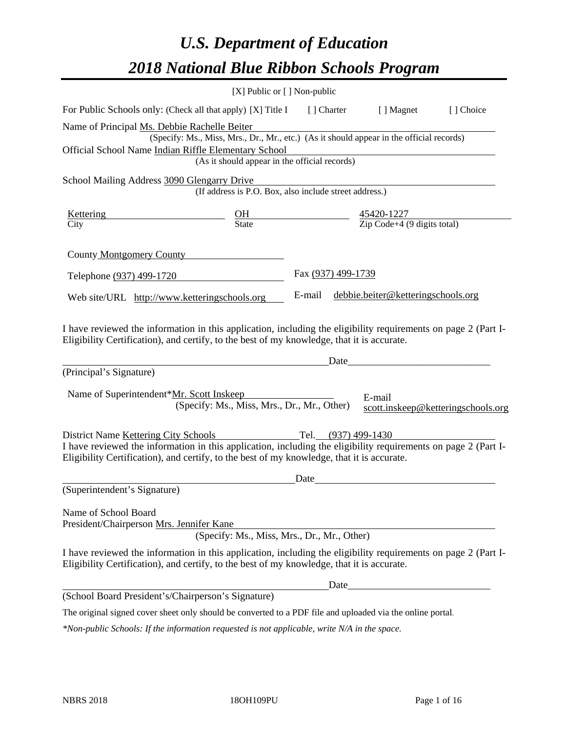# *U.S. Department of Education 2018 National Blue Ribbon Schools Program*

|                                                                                                                                                                                                                                                                                     | [X] Public or [] Non-public                                                              |                     |                                                             |                                    |
|-------------------------------------------------------------------------------------------------------------------------------------------------------------------------------------------------------------------------------------------------------------------------------------|------------------------------------------------------------------------------------------|---------------------|-------------------------------------------------------------|------------------------------------|
| For Public Schools only: (Check all that apply) [X] Title I                                                                                                                                                                                                                         |                                                                                          | [] Charter          | [ ] Magnet                                                  | [] Choice                          |
| Name of Principal Ms. Debbie Rachelle Beiter<br>Official School Name Indian Riffle Elementary School                                                                                                                                                                                | (Specify: Ms., Miss, Mrs., Dr., Mr., etc.) (As it should appear in the official records) |                     |                                                             |                                    |
|                                                                                                                                                                                                                                                                                     | (As it should appear in the official records)                                            |                     |                                                             |                                    |
| School Mailing Address 3090 Glengarry Drive                                                                                                                                                                                                                                         | (If address is P.O. Box, also include street address.)                                   |                     |                                                             |                                    |
| Kettering                                                                                                                                                                                                                                                                           | $rac{\text{OH}}{\text{State}}$                                                           |                     | $\frac{45420 - 1227}{\text{Zip Code} + 4 (9 digits total)}$ |                                    |
| City                                                                                                                                                                                                                                                                                |                                                                                          |                     |                                                             |                                    |
| County Montgomery County                                                                                                                                                                                                                                                            |                                                                                          |                     |                                                             |                                    |
| Telephone (937) 499-1720                                                                                                                                                                                                                                                            |                                                                                          | Fax (937) 499-1739  |                                                             |                                    |
| Web site/URL http://www.ketteringschools.org                                                                                                                                                                                                                                        |                                                                                          | E-mail              | debbie.beiter@ketteringschools.org                          |                                    |
| I have reviewed the information in this application, including the eligibility requirements on page 2 (Part I-<br>Eligibility Certification), and certify, to the best of my knowledge, that it is accurate.<br>(Principal's Signature)<br>Name of Superintendent*Mr. Scott Inskeep | (Specify: Ms., Miss, Mrs., Dr., Mr., Other)                                              | Date                | E-mail                                                      | scott.inskeep@ketteringschools.org |
| District Name Kettering City Schools<br>I have reviewed the information in this application, including the eligibility requirements on page 2 (Part I-<br>Eligibility Certification), and certify, to the best of my knowledge, that it is accurate.                                |                                                                                          | Tel. (937) 499-1430 |                                                             |                                    |
| (Superintendent's Signature)                                                                                                                                                                                                                                                        |                                                                                          | Date                |                                                             |                                    |
| Name of School Board<br>President/Chairperson Mrs. Jennifer Kane                                                                                                                                                                                                                    | (Specify: Ms., Miss, Mrs., Dr., Mr., Other)                                              |                     |                                                             |                                    |
| I have reviewed the information in this application, including the eligibility requirements on page 2 (Part I-<br>Eligibility Certification), and certify, to the best of my knowledge, that it is accurate.                                                                        |                                                                                          |                     |                                                             |                                    |
|                                                                                                                                                                                                                                                                                     |                                                                                          | Date                |                                                             |                                    |
| (School Board President's/Chairperson's Signature)                                                                                                                                                                                                                                  |                                                                                          |                     |                                                             |                                    |
| The original signed cover sheet only should be converted to a PDF file and uploaded via the online portal.                                                                                                                                                                          |                                                                                          |                     |                                                             |                                    |

*\*Non-public Schools: If the information requested is not applicable, write N/A in the space.*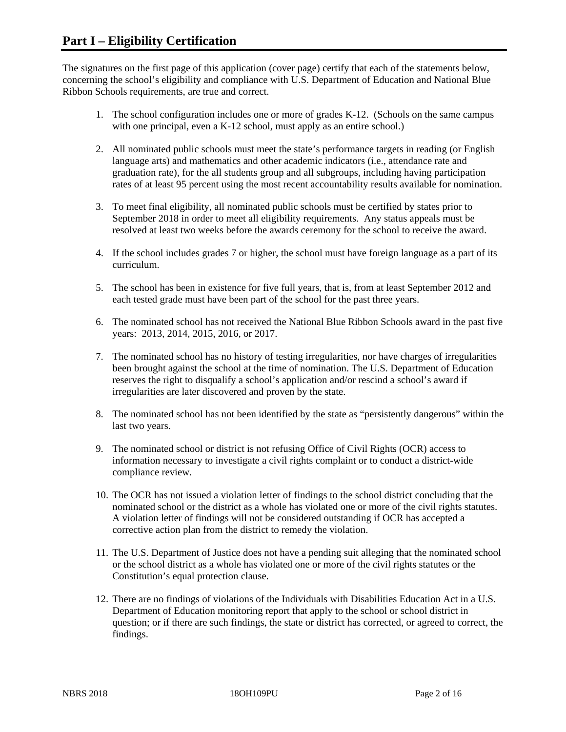The signatures on the first page of this application (cover page) certify that each of the statements below, concerning the school's eligibility and compliance with U.S. Department of Education and National Blue Ribbon Schools requirements, are true and correct.

- 1. The school configuration includes one or more of grades K-12. (Schools on the same campus with one principal, even a K-12 school, must apply as an entire school.)
- 2. All nominated public schools must meet the state's performance targets in reading (or English language arts) and mathematics and other academic indicators (i.e., attendance rate and graduation rate), for the all students group and all subgroups, including having participation rates of at least 95 percent using the most recent accountability results available for nomination.
- 3. To meet final eligibility, all nominated public schools must be certified by states prior to September 2018 in order to meet all eligibility requirements. Any status appeals must be resolved at least two weeks before the awards ceremony for the school to receive the award.
- 4. If the school includes grades 7 or higher, the school must have foreign language as a part of its curriculum.
- 5. The school has been in existence for five full years, that is, from at least September 2012 and each tested grade must have been part of the school for the past three years.
- 6. The nominated school has not received the National Blue Ribbon Schools award in the past five years: 2013, 2014, 2015, 2016, or 2017.
- 7. The nominated school has no history of testing irregularities, nor have charges of irregularities been brought against the school at the time of nomination. The U.S. Department of Education reserves the right to disqualify a school's application and/or rescind a school's award if irregularities are later discovered and proven by the state.
- 8. The nominated school has not been identified by the state as "persistently dangerous" within the last two years.
- 9. The nominated school or district is not refusing Office of Civil Rights (OCR) access to information necessary to investigate a civil rights complaint or to conduct a district-wide compliance review.
- 10. The OCR has not issued a violation letter of findings to the school district concluding that the nominated school or the district as a whole has violated one or more of the civil rights statutes. A violation letter of findings will not be considered outstanding if OCR has accepted a corrective action plan from the district to remedy the violation.
- 11. The U.S. Department of Justice does not have a pending suit alleging that the nominated school or the school district as a whole has violated one or more of the civil rights statutes or the Constitution's equal protection clause.
- 12. There are no findings of violations of the Individuals with Disabilities Education Act in a U.S. Department of Education monitoring report that apply to the school or school district in question; or if there are such findings, the state or district has corrected, or agreed to correct, the findings.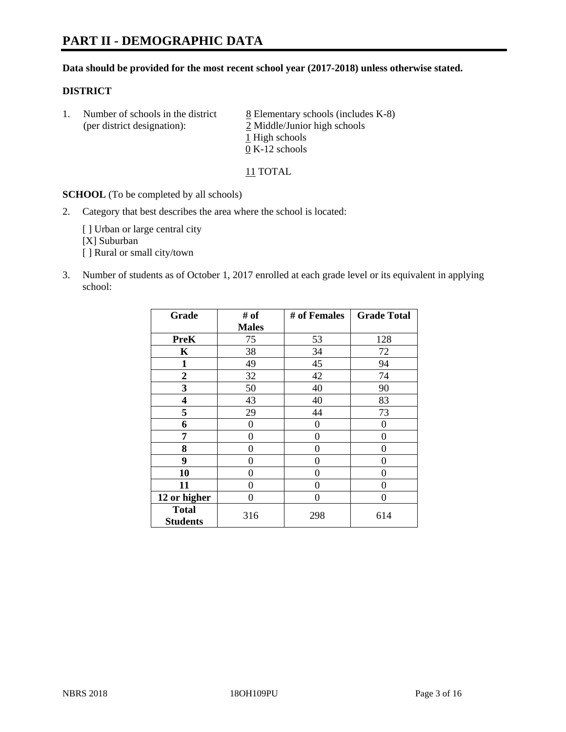#### **Data should be provided for the most recent school year (2017-2018) unless otherwise stated.**

#### **DISTRICT**

1. Number of schools in the district  $8$  Elementary schools (includes K-8) (per district designation): 2 Middle/Junior high schools 1 High schools 0 K-12 schools

11 TOTAL

**SCHOOL** (To be completed by all schools)

2. Category that best describes the area where the school is located:

[] Urban or large central city [X] Suburban [] Rural or small city/town

3. Number of students as of October 1, 2017 enrolled at each grade level or its equivalent in applying school:

| Grade                           | # of         | # of Females | <b>Grade Total</b> |
|---------------------------------|--------------|--------------|--------------------|
|                                 | <b>Males</b> |              |                    |
| <b>PreK</b>                     | 75           | 53           | 128                |
| $\mathbf K$                     | 38           | 34           | 72                 |
| $\mathbf{1}$                    | 49           | 45           | 94                 |
| 2                               | 32           | 42           | 74                 |
| 3                               | 50           | 40           | 90                 |
| $\overline{\mathbf{4}}$         | 43           | 40           | 83                 |
| 5                               | 29           | 44           | 73                 |
| 6                               | 0            | $\theta$     | 0                  |
| 7                               | 0            | $\theta$     | 0                  |
| 8                               | 0            | $\theta$     | 0                  |
| 9                               | 0            | $\theta$     | 0                  |
| 10                              | 0            | 0            | 0                  |
| 11                              | 0            | 0            | 0                  |
| 12 or higher                    | 0            | $\Omega$     | 0                  |
| <b>Total</b><br><b>Students</b> | 316          | 298          | 614                |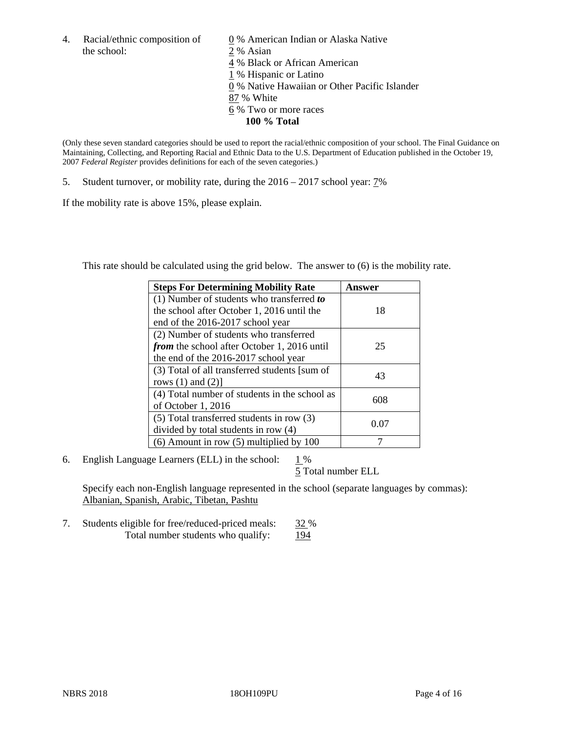4. Racial/ethnic composition of  $\qquad 0\%$  American Indian or Alaska Native the school: 2 % Asian

 % Black or African American % Hispanic or Latino % Native Hawaiian or Other Pacific Islander 87 % White % Two or more races **100 % Total**

(Only these seven standard categories should be used to report the racial/ethnic composition of your school. The Final Guidance on Maintaining, Collecting, and Reporting Racial and Ethnic Data to the U.S. Department of Education published in the October 19, 2007 *Federal Register* provides definitions for each of the seven categories.)

5. Student turnover, or mobility rate, during the 2016 – 2017 school year: 7%

If the mobility rate is above 15%, please explain.

This rate should be calculated using the grid below. The answer to (6) is the mobility rate.

| <b>Steps For Determining Mobility Rate</b>         | Answer |
|----------------------------------------------------|--------|
| (1) Number of students who transferred to          |        |
| the school after October 1, 2016 until the         | 18     |
| end of the 2016-2017 school year                   |        |
| (2) Number of students who transferred             |        |
| <i>from</i> the school after October 1, 2016 until | 25     |
| the end of the 2016-2017 school year               |        |
| (3) Total of all transferred students [sum of      | 43     |
| rows $(1)$ and $(2)$ ]                             |        |
| (4) Total number of students in the school as      |        |
| of October 1, 2016                                 | 608    |
| (5) Total transferred students in row (3)          | 0.07   |
| divided by total students in row (4)               |        |
| $(6)$ Amount in row $(5)$ multiplied by 100        |        |

6. English Language Learners (ELL) in the school:  $1\%$ 

5 Total number ELL

Specify each non-English language represented in the school (separate languages by commas): Albanian, Spanish, Arabic, Tibetan, Pashtu

7. Students eligible for free/reduced-priced meals: 32 % Total number students who qualify: 194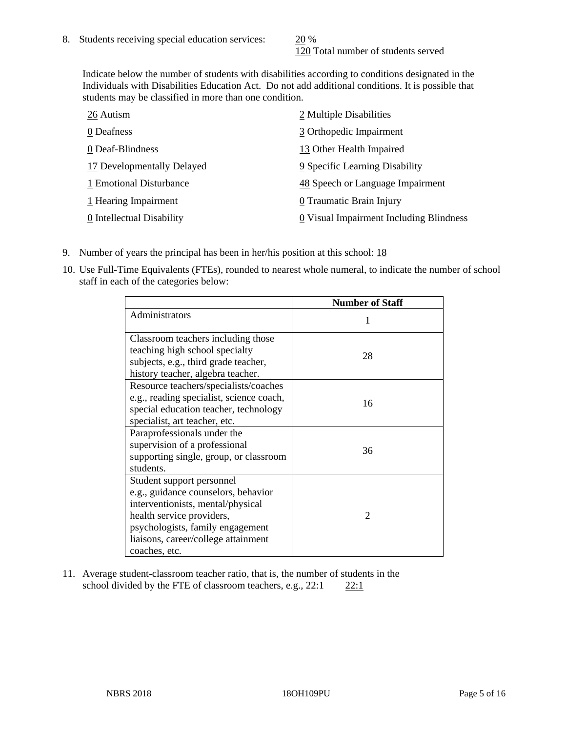120 Total number of students served

Indicate below the number of students with disabilities according to conditions designated in the Individuals with Disabilities Education Act. Do not add additional conditions. It is possible that students may be classified in more than one condition.

| 26 Autism                  | 2 Multiple Disabilities                 |
|----------------------------|-----------------------------------------|
| 0 Deafness                 | 3 Orthopedic Impairment                 |
| 0 Deaf-Blindness           | 13 Other Health Impaired                |
| 17 Developmentally Delayed | 9 Specific Learning Disability          |
| 1 Emotional Disturbance    | 48 Speech or Language Impairment        |
| 1 Hearing Impairment       | 0 Traumatic Brain Injury                |
| 0 Intellectual Disability  | 0 Visual Impairment Including Blindness |

- 9. Number of years the principal has been in her/his position at this school: 18
- 10. Use Full-Time Equivalents (FTEs), rounded to nearest whole numeral, to indicate the number of school staff in each of the categories below:

|                                                                                                                                                                                                                                | <b>Number of Staff</b> |
|--------------------------------------------------------------------------------------------------------------------------------------------------------------------------------------------------------------------------------|------------------------|
| Administrators                                                                                                                                                                                                                 |                        |
| Classroom teachers including those<br>teaching high school specialty<br>subjects, e.g., third grade teacher,<br>history teacher, algebra teacher.                                                                              | 28                     |
| Resource teachers/specialists/coaches<br>e.g., reading specialist, science coach,<br>special education teacher, technology<br>specialist, art teacher, etc.                                                                    | 16                     |
| Paraprofessionals under the<br>supervision of a professional<br>supporting single, group, or classroom<br>students.                                                                                                            | 36                     |
| Student support personnel<br>e.g., guidance counselors, behavior<br>interventionists, mental/physical<br>health service providers,<br>psychologists, family engagement<br>liaisons, career/college attainment<br>coaches, etc. | $\mathfrak{D}$         |

11. Average student-classroom teacher ratio, that is, the number of students in the school divided by the FTE of classroom teachers, e.g.,  $22:1$  22:1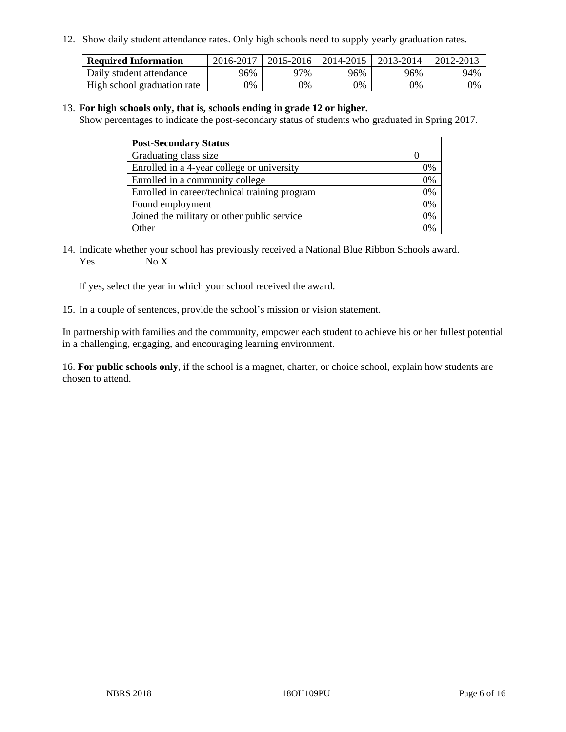12. Show daily student attendance rates. Only high schools need to supply yearly graduation rates.

| <b>Required Information</b> | 2016-2017 | 2015-2016 | 2014-2015 | 2013-2014 | 2012-2013 |
|-----------------------------|-----------|-----------|-----------|-----------|-----------|
| Daily student attendance    | 96%       | 97%       | 96%       | 96%       | 94%       |
| High school graduation rate | 0%        | 0%        | 0%        | 0%        | 0%        |

#### 13. **For high schools only, that is, schools ending in grade 12 or higher.**

Show percentages to indicate the post-secondary status of students who graduated in Spring 2017.

| <b>Post-Secondary Status</b>                  |    |
|-----------------------------------------------|----|
| Graduating class size                         |    |
| Enrolled in a 4-year college or university    | 7% |
| Enrolled in a community college               | 0% |
| Enrolled in career/technical training program | 0% |
| Found employment                              | 0% |
| Joined the military or other public service   | 0% |
| Other                                         |    |

14. Indicate whether your school has previously received a National Blue Ribbon Schools award. Yes No X

If yes, select the year in which your school received the award.

15. In a couple of sentences, provide the school's mission or vision statement.

In partnership with families and the community, empower each student to achieve his or her fullest potential in a challenging, engaging, and encouraging learning environment.

16. **For public schools only**, if the school is a magnet, charter, or choice school, explain how students are chosen to attend.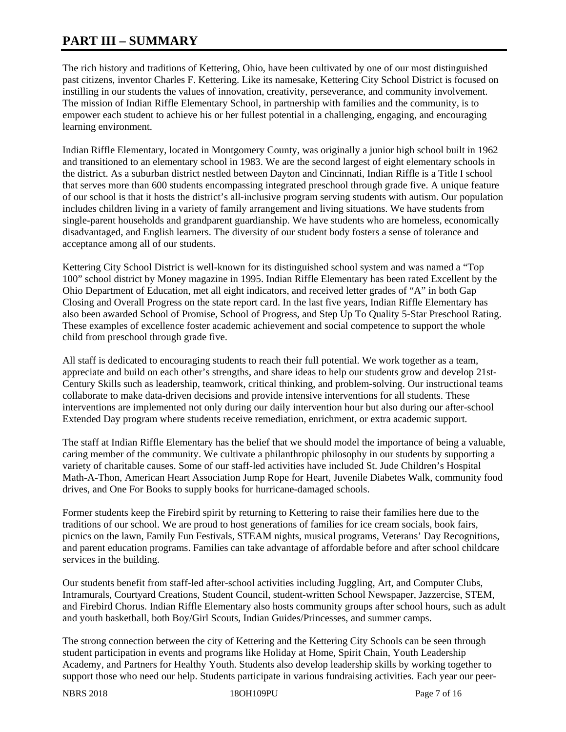# **PART III – SUMMARY**

The rich history and traditions of Kettering, Ohio, have been cultivated by one of our most distinguished past citizens, inventor Charles F. Kettering. Like its namesake, Kettering City School District is focused on instilling in our students the values of innovation, creativity, perseverance, and community involvement. The mission of Indian Riffle Elementary School, in partnership with families and the community, is to empower each student to achieve his or her fullest potential in a challenging, engaging, and encouraging learning environment.

Indian Riffle Elementary, located in Montgomery County, was originally a junior high school built in 1962 and transitioned to an elementary school in 1983. We are the second largest of eight elementary schools in the district. As a suburban district nestled between Dayton and Cincinnati, Indian Riffle is a Title I school that serves more than 600 students encompassing integrated preschool through grade five. A unique feature of our school is that it hosts the district's all-inclusive program serving students with autism. Our population includes children living in a variety of family arrangement and living situations. We have students from single-parent households and grandparent guardianship. We have students who are homeless, economically disadvantaged, and English learners. The diversity of our student body fosters a sense of tolerance and acceptance among all of our students.

Kettering City School District is well-known for its distinguished school system and was named a "Top 100" school district by Money magazine in 1995. Indian Riffle Elementary has been rated Excellent by the Ohio Department of Education, met all eight indicators, and received letter grades of "A" in both Gap Closing and Overall Progress on the state report card. In the last five years, Indian Riffle Elementary has also been awarded School of Promise, School of Progress, and Step Up To Quality 5-Star Preschool Rating. These examples of excellence foster academic achievement and social competence to support the whole child from preschool through grade five.

All staff is dedicated to encouraging students to reach their full potential. We work together as a team, appreciate and build on each other's strengths, and share ideas to help our students grow and develop 21st-Century Skills such as leadership, teamwork, critical thinking, and problem-solving. Our instructional teams collaborate to make data-driven decisions and provide intensive interventions for all students. These interventions are implemented not only during our daily intervention hour but also during our after-school Extended Day program where students receive remediation, enrichment, or extra academic support.

The staff at Indian Riffle Elementary has the belief that we should model the importance of being a valuable, caring member of the community. We cultivate a philanthropic philosophy in our students by supporting a variety of charitable causes. Some of our staff-led activities have included St. Jude Children's Hospital Math-A-Thon, American Heart Association Jump Rope for Heart, Juvenile Diabetes Walk, community food drives, and One For Books to supply books for hurricane-damaged schools.

Former students keep the Firebird spirit by returning to Kettering to raise their families here due to the traditions of our school. We are proud to host generations of families for ice cream socials, book fairs, picnics on the lawn, Family Fun Festivals, STEAM nights, musical programs, Veterans' Day Recognitions, and parent education programs. Families can take advantage of affordable before and after school childcare services in the building.

Our students benefit from staff-led after-school activities including Juggling, Art, and Computer Clubs, Intramurals, Courtyard Creations, Student Council, student-written School Newspaper, Jazzercise, STEM, and Firebird Chorus. Indian Riffle Elementary also hosts community groups after school hours, such as adult and youth basketball, both Boy/Girl Scouts, Indian Guides/Princesses, and summer camps.

The strong connection between the city of Kettering and the Kettering City Schools can be seen through student participation in events and programs like Holiday at Home, Spirit Chain, Youth Leadership Academy, and Partners for Healthy Youth. Students also develop leadership skills by working together to support those who need our help. Students participate in various fundraising activities. Each year our peer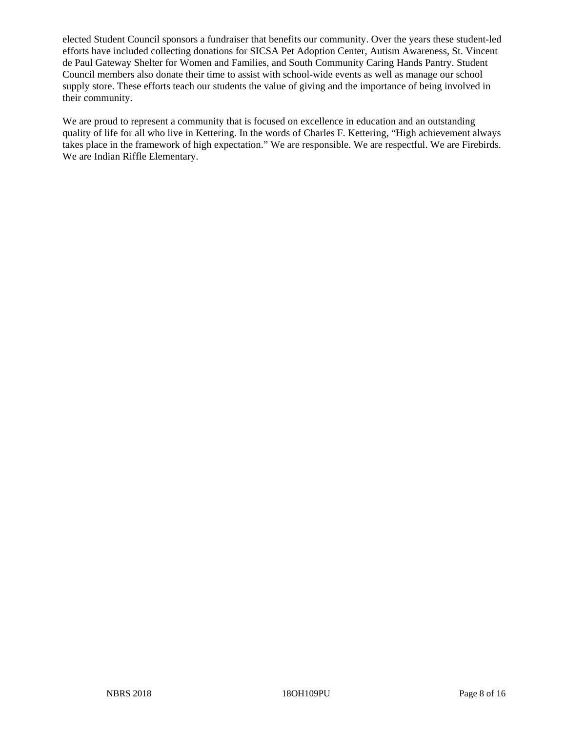elected Student Council sponsors a fundraiser that benefits our community. Over the years these student-led efforts have included collecting donations for SICSA Pet Adoption Center, Autism Awareness, St. Vincent de Paul Gateway Shelter for Women and Families, and South Community Caring Hands Pantry. Student Council members also donate their time to assist with school-wide events as well as manage our school supply store. These efforts teach our students the value of giving and the importance of being involved in their community.

We are proud to represent a community that is focused on excellence in education and an outstanding quality of life for all who live in Kettering. In the words of Charles F. Kettering, "High achievement always takes place in the framework of high expectation." We are responsible. We are respectful. We are Firebirds. We are Indian Riffle Elementary.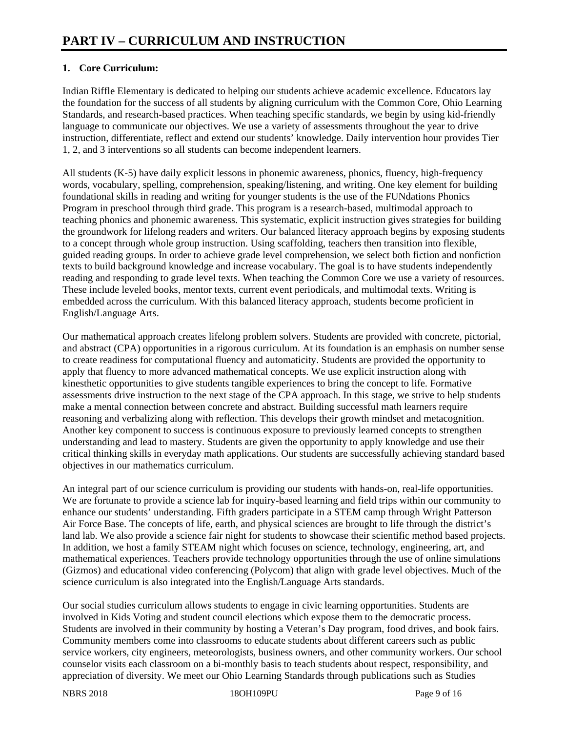# **1. Core Curriculum:**

Indian Riffle Elementary is dedicated to helping our students achieve academic excellence. Educators lay the foundation for the success of all students by aligning curriculum with the Common Core, Ohio Learning Standards, and research-based practices. When teaching specific standards, we begin by using kid-friendly language to communicate our objectives. We use a variety of assessments throughout the year to drive instruction, differentiate, reflect and extend our students' knowledge. Daily intervention hour provides Tier 1, 2, and 3 interventions so all students can become independent learners.

All students (K-5) have daily explicit lessons in phonemic awareness, phonics, fluency, high-frequency words, vocabulary, spelling, comprehension, speaking/listening, and writing. One key element for building foundational skills in reading and writing for younger students is the use of the FUNdations Phonics Program in preschool through third grade. This program is a research-based, multimodal approach to teaching phonics and phonemic awareness. This systematic, explicit instruction gives strategies for building the groundwork for lifelong readers and writers. Our balanced literacy approach begins by exposing students to a concept through whole group instruction. Using scaffolding, teachers then transition into flexible, guided reading groups. In order to achieve grade level comprehension, we select both fiction and nonfiction texts to build background knowledge and increase vocabulary. The goal is to have students independently reading and responding to grade level texts. When teaching the Common Core we use a variety of resources. These include leveled books, mentor texts, current event periodicals, and multimodal texts. Writing is embedded across the curriculum. With this balanced literacy approach, students become proficient in English/Language Arts.

Our mathematical approach creates lifelong problem solvers. Students are provided with concrete, pictorial, and abstract (CPA) opportunities in a rigorous curriculum. At its foundation is an emphasis on number sense to create readiness for computational fluency and automaticity. Students are provided the opportunity to apply that fluency to more advanced mathematical concepts. We use explicit instruction along with kinesthetic opportunities to give students tangible experiences to bring the concept to life. Formative assessments drive instruction to the next stage of the CPA approach. In this stage, we strive to help students make a mental connection between concrete and abstract. Building successful math learners require reasoning and verbalizing along with reflection. This develops their growth mindset and metacognition. Another key component to success is continuous exposure to previously learned concepts to strengthen understanding and lead to mastery. Students are given the opportunity to apply knowledge and use their critical thinking skills in everyday math applications. Our students are successfully achieving standard based objectives in our mathematics curriculum.

An integral part of our science curriculum is providing our students with hands-on, real-life opportunities. We are fortunate to provide a science lab for inquiry-based learning and field trips within our community to enhance our students' understanding. Fifth graders participate in a STEM camp through Wright Patterson Air Force Base. The concepts of life, earth, and physical sciences are brought to life through the district's land lab. We also provide a science fair night for students to showcase their scientific method based projects. In addition, we host a family STEAM night which focuses on science, technology, engineering, art, and mathematical experiences. Teachers provide technology opportunities through the use of online simulations (Gizmos) and educational video conferencing (Polycom) that align with grade level objectives. Much of the science curriculum is also integrated into the English/Language Arts standards.

Our social studies curriculum allows students to engage in civic learning opportunities. Students are involved in Kids Voting and student council elections which expose them to the democratic process. Students are involved in their community by hosting a Veteran's Day program, food drives, and book fairs. Community members come into classrooms to educate students about different careers such as public service workers, city engineers, meteorologists, business owners, and other community workers. Our school counselor visits each classroom on a bi-monthly basis to teach students about respect, responsibility, and appreciation of diversity. We meet our Ohio Learning Standards through publications such as Studies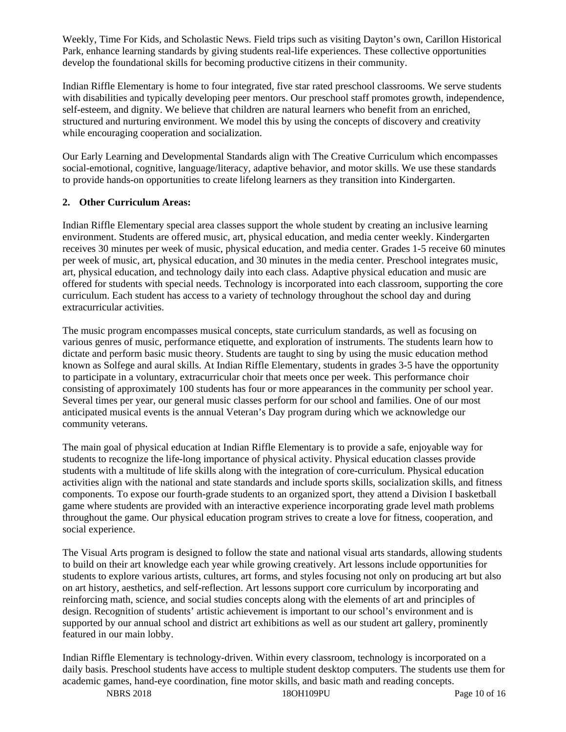Weekly, Time For Kids, and Scholastic News. Field trips such as visiting Dayton's own, Carillon Historical Park, enhance learning standards by giving students real-life experiences. These collective opportunities develop the foundational skills for becoming productive citizens in their community.

Indian Riffle Elementary is home to four integrated, five star rated preschool classrooms. We serve students with disabilities and typically developing peer mentors. Our preschool staff promotes growth, independence, self-esteem, and dignity. We believe that children are natural learners who benefit from an enriched, structured and nurturing environment. We model this by using the concepts of discovery and creativity while encouraging cooperation and socialization.

Our Early Learning and Developmental Standards align with The Creative Curriculum which encompasses social-emotional, cognitive, language/literacy, adaptive behavior, and motor skills. We use these standards to provide hands-on opportunities to create lifelong learners as they transition into Kindergarten.

## **2. Other Curriculum Areas:**

Indian Riffle Elementary special area classes support the whole student by creating an inclusive learning environment. Students are offered music, art, physical education, and media center weekly. Kindergarten receives 30 minutes per week of music, physical education, and media center. Grades 1-5 receive 60 minutes per week of music, art, physical education, and 30 minutes in the media center. Preschool integrates music, art, physical education, and technology daily into each class. Adaptive physical education and music are offered for students with special needs. Technology is incorporated into each classroom, supporting the core curriculum. Each student has access to a variety of technology throughout the school day and during extracurricular activities.

The music program encompasses musical concepts, state curriculum standards, as well as focusing on various genres of music, performance etiquette, and exploration of instruments. The students learn how to dictate and perform basic music theory. Students are taught to sing by using the music education method known as Solfege and aural skills. At Indian Riffle Elementary, students in grades 3-5 have the opportunity to participate in a voluntary, extracurricular choir that meets once per week. This performance choir consisting of approximately 100 students has four or more appearances in the community per school year. Several times per year, our general music classes perform for our school and families. One of our most anticipated musical events is the annual Veteran's Day program during which we acknowledge our community veterans.

The main goal of physical education at Indian Riffle Elementary is to provide a safe, enjoyable way for students to recognize the life-long importance of physical activity. Physical education classes provide students with a multitude of life skills along with the integration of core-curriculum. Physical education activities align with the national and state standards and include sports skills, socialization skills, and fitness components. To expose our fourth-grade students to an organized sport, they attend a Division I basketball game where students are provided with an interactive experience incorporating grade level math problems throughout the game. Our physical education program strives to create a love for fitness, cooperation, and social experience.

The Visual Arts program is designed to follow the state and national visual arts standards, allowing students to build on their art knowledge each year while growing creatively. Art lessons include opportunities for students to explore various artists, cultures, art forms, and styles focusing not only on producing art but also on art history, aesthetics, and self-reflection. Art lessons support core curriculum by incorporating and reinforcing math, science, and social studies concepts along with the elements of art and principles of design. Recognition of students' artistic achievement is important to our school's environment and is supported by our annual school and district art exhibitions as well as our student art gallery, prominently featured in our main lobby.

Indian Riffle Elementary is technology-driven. Within every classroom, technology is incorporated on a daily basis. Preschool students have access to multiple student desktop computers. The students use them for academic games, hand-eye coordination, fine motor skills, and basic math and reading concepts.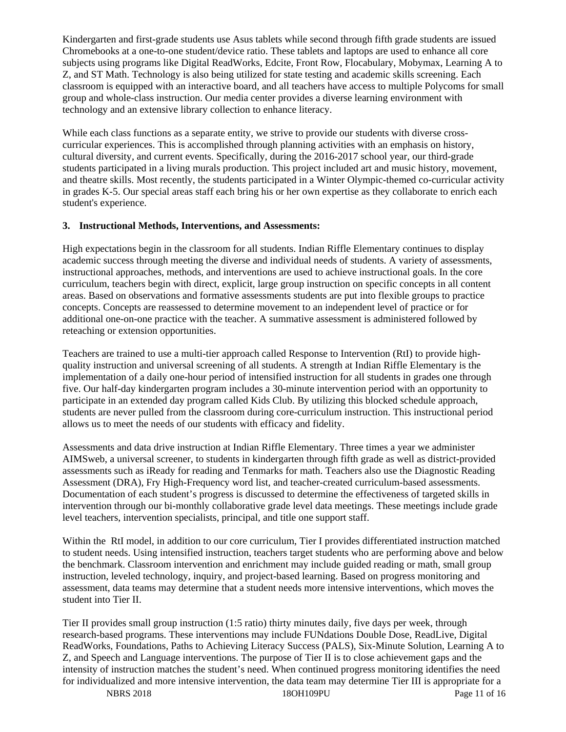Kindergarten and first-grade students use Asus tablets while second through fifth grade students are issued Chromebooks at a one-to-one student/device ratio. These tablets and laptops are used to enhance all core subjects using programs like Digital ReadWorks, Edcite, Front Row, Flocabulary, Mobymax, Learning A to Z, and ST Math. Technology is also being utilized for state testing and academic skills screening. Each classroom is equipped with an interactive board, and all teachers have access to multiple Polycoms for small group and whole-class instruction. Our media center provides a diverse learning environment with technology and an extensive library collection to enhance literacy.

While each class functions as a separate entity, we strive to provide our students with diverse crosscurricular experiences. This is accomplished through planning activities with an emphasis on history, cultural diversity, and current events. Specifically, during the 2016-2017 school year, our third-grade students participated in a living murals production. This project included art and music history, movement, and theatre skills. Most recently, the students participated in a Winter Olympic-themed co-curricular activity in grades K-5. Our special areas staff each bring his or her own expertise as they collaborate to enrich each student's experience.

## **3. Instructional Methods, Interventions, and Assessments:**

High expectations begin in the classroom for all students. Indian Riffle Elementary continues to display academic success through meeting the diverse and individual needs of students. A variety of assessments, instructional approaches, methods, and interventions are used to achieve instructional goals. In the core curriculum, teachers begin with direct, explicit, large group instruction on specific concepts in all content areas. Based on observations and formative assessments students are put into flexible groups to practice concepts. Concepts are reassessed to determine movement to an independent level of practice or for additional one-on-one practice with the teacher. A summative assessment is administered followed by reteaching or extension opportunities.

Teachers are trained to use a multi-tier approach called Response to Intervention (RtI) to provide highquality instruction and universal screening of all students. A strength at Indian Riffle Elementary is the implementation of a daily one-hour period of intensified instruction for all students in grades one through five. Our half-day kindergarten program includes a 30-minute intervention period with an opportunity to participate in an extended day program called Kids Club. By utilizing this blocked schedule approach, students are never pulled from the classroom during core-curriculum instruction. This instructional period allows us to meet the needs of our students with efficacy and fidelity.

Assessments and data drive instruction at Indian Riffle Elementary. Three times a year we administer AIMSweb, a universal screener, to students in kindergarten through fifth grade as well as district-provided assessments such as iReady for reading and Tenmarks for math. Teachers also use the Diagnostic Reading Assessment (DRA), Fry High-Frequency word list, and teacher-created curriculum-based assessments. Documentation of each student's progress is discussed to determine the effectiveness of targeted skills in intervention through our bi-monthly collaborative grade level data meetings. These meetings include grade level teachers, intervention specialists, principal, and title one support staff.

Within the RtI model, in addition to our core curriculum, Tier I provides differentiated instruction matched to student needs. Using intensified instruction, teachers target students who are performing above and below the benchmark. Classroom intervention and enrichment may include guided reading or math, small group instruction, leveled technology, inquiry, and project-based learning. Based on progress monitoring and assessment, data teams may determine that a student needs more intensive interventions, which moves the student into Tier II.

Tier II provides small group instruction (1:5 ratio) thirty minutes daily, five days per week, through research-based programs. These interventions may include FUNdations Double Dose, ReadLive, Digital ReadWorks, Foundations, Paths to Achieving Literacy Success (PALS), Six-Minute Solution, Learning A to Z, and Speech and Language interventions. The purpose of Tier II is to close achievement gaps and the intensity of instruction matches the student's need. When continued progress monitoring identifies the need for individualized and more intensive intervention, the data team may determine Tier III is appropriate for a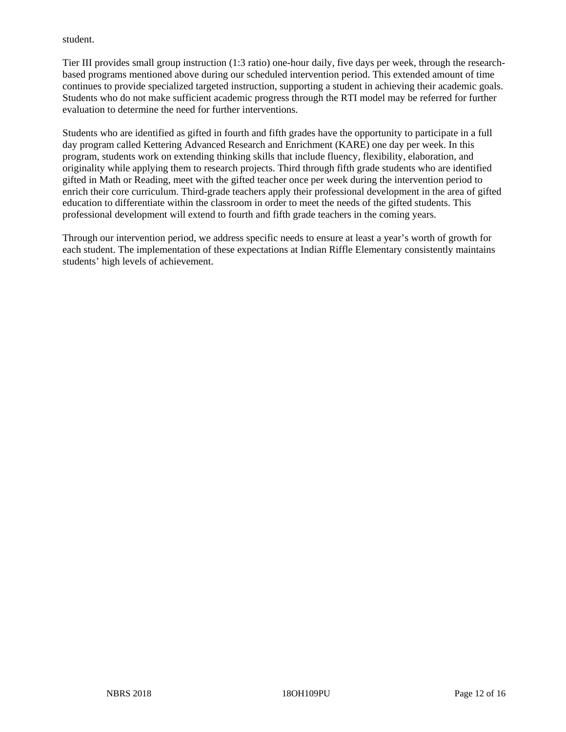#### student.

Tier III provides small group instruction (1:3 ratio) one-hour daily, five days per week, through the researchbased programs mentioned above during our scheduled intervention period. This extended amount of time continues to provide specialized targeted instruction, supporting a student in achieving their academic goals. Students who do not make sufficient academic progress through the RTI model may be referred for further evaluation to determine the need for further interventions.

Students who are identified as gifted in fourth and fifth grades have the opportunity to participate in a full day program called Kettering Advanced Research and Enrichment (KARE) one day per week. In this program, students work on extending thinking skills that include fluency, flexibility, elaboration, and originality while applying them to research projects. Third through fifth grade students who are identified gifted in Math or Reading, meet with the gifted teacher once per week during the intervention period to enrich their core curriculum. Third-grade teachers apply their professional development in the area of gifted education to differentiate within the classroom in order to meet the needs of the gifted students. This professional development will extend to fourth and fifth grade teachers in the coming years.

Through our intervention period, we address specific needs to ensure at least a year's worth of growth for each student. The implementation of these expectations at Indian Riffle Elementary consistently maintains students' high levels of achievement.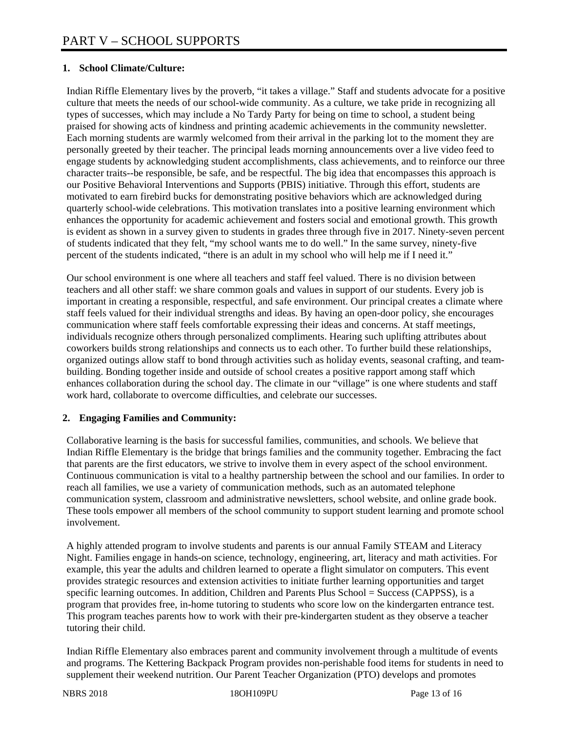## **1. School Climate/Culture:**

Indian Riffle Elementary lives by the proverb, "it takes a village." Staff and students advocate for a positive culture that meets the needs of our school-wide community. As a culture, we take pride in recognizing all types of successes, which may include a No Tardy Party for being on time to school, a student being praised for showing acts of kindness and printing academic achievements in the community newsletter. Each morning students are warmly welcomed from their arrival in the parking lot to the moment they are personally greeted by their teacher. The principal leads morning announcements over a live video feed to engage students by acknowledging student accomplishments, class achievements, and to reinforce our three character traits--be responsible, be safe, and be respectful. The big idea that encompasses this approach is our Positive Behavioral Interventions and Supports (PBIS) initiative. Through this effort, students are motivated to earn firebird bucks for demonstrating positive behaviors which are acknowledged during quarterly school-wide celebrations. This motivation translates into a positive learning environment which enhances the opportunity for academic achievement and fosters social and emotional growth. This growth is evident as shown in a survey given to students in grades three through five in 2017. Ninety-seven percent of students indicated that they felt, "my school wants me to do well." In the same survey, ninety-five percent of the students indicated, "there is an adult in my school who will help me if I need it."

Our school environment is one where all teachers and staff feel valued. There is no division between teachers and all other staff: we share common goals and values in support of our students. Every job is important in creating a responsible, respectful, and safe environment. Our principal creates a climate where staff feels valued for their individual strengths and ideas. By having an open-door policy, she encourages communication where staff feels comfortable expressing their ideas and concerns. At staff meetings, individuals recognize others through personalized compliments. Hearing such uplifting attributes about coworkers builds strong relationships and connects us to each other. To further build these relationships, organized outings allow staff to bond through activities such as holiday events, seasonal crafting, and teambuilding. Bonding together inside and outside of school creates a positive rapport among staff which enhances collaboration during the school day. The climate in our "village" is one where students and staff work hard, collaborate to overcome difficulties, and celebrate our successes.

#### **2. Engaging Families and Community:**

Collaborative learning is the basis for successful families, communities, and schools. We believe that Indian Riffle Elementary is the bridge that brings families and the community together. Embracing the fact that parents are the first educators, we strive to involve them in every aspect of the school environment. Continuous communication is vital to a healthy partnership between the school and our families. In order to reach all families, we use a variety of communication methods, such as an automated telephone communication system, classroom and administrative newsletters, school website, and online grade book. These tools empower all members of the school community to support student learning and promote school involvement.

A highly attended program to involve students and parents is our annual Family STEAM and Literacy Night. Families engage in hands-on science, technology, engineering, art, literacy and math activities. For example, this year the adults and children learned to operate a flight simulator on computers. This event provides strategic resources and extension activities to initiate further learning opportunities and target specific learning outcomes. In addition, Children and Parents Plus School = Success (CAPPSS), is a program that provides free, in-home tutoring to students who score low on the kindergarten entrance test. This program teaches parents how to work with their pre-kindergarten student as they observe a teacher tutoring their child.

Indian Riffle Elementary also embraces parent and community involvement through a multitude of events and programs. The Kettering Backpack Program provides non-perishable food items for students in need to supplement their weekend nutrition. Our Parent Teacher Organization (PTO) develops and promotes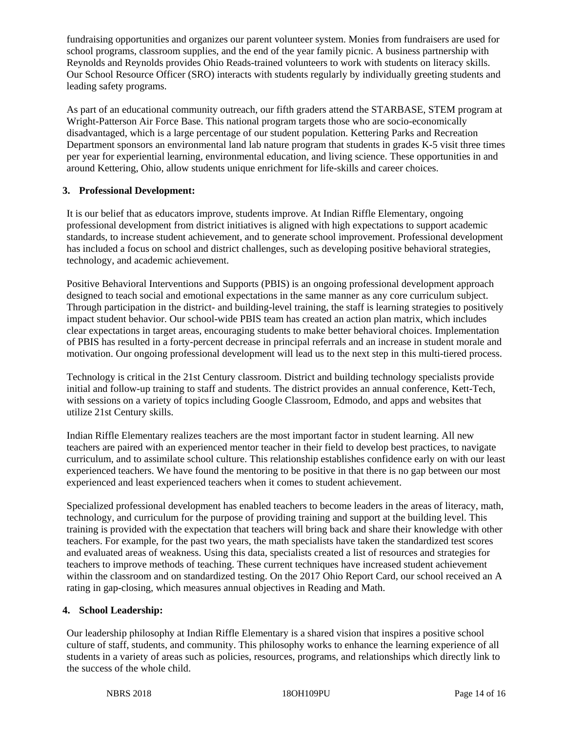fundraising opportunities and organizes our parent volunteer system. Monies from fundraisers are used for school programs, classroom supplies, and the end of the year family picnic. A business partnership with Reynolds and Reynolds provides Ohio Reads-trained volunteers to work with students on literacy skills. Our School Resource Officer (SRO) interacts with students regularly by individually greeting students and leading safety programs.

As part of an educational community outreach, our fifth graders attend the STARBASE, STEM program at Wright-Patterson Air Force Base. This national program targets those who are socio-economically disadvantaged, which is a large percentage of our student population. Kettering Parks and Recreation Department sponsors an environmental land lab nature program that students in grades K-5 visit three times per year for experiential learning, environmental education, and living science. These opportunities in and around Kettering, Ohio, allow students unique enrichment for life-skills and career choices.

# **3. Professional Development:**

It is our belief that as educators improve, students improve. At Indian Riffle Elementary, ongoing professional development from district initiatives is aligned with high expectations to support academic standards, to increase student achievement, and to generate school improvement. Professional development has included a focus on school and district challenges, such as developing positive behavioral strategies, technology, and academic achievement.

Positive Behavioral Interventions and Supports (PBIS) is an ongoing professional development approach designed to teach social and emotional expectations in the same manner as any core curriculum subject. Through participation in the district- and building-level training, the staff is learning strategies to positively impact student behavior. Our school-wide PBIS team has created an action plan matrix, which includes clear expectations in target areas, encouraging students to make better behavioral choices. Implementation of PBIS has resulted in a forty-percent decrease in principal referrals and an increase in student morale and motivation. Our ongoing professional development will lead us to the next step in this multi-tiered process.

Technology is critical in the 21st Century classroom. District and building technology specialists provide initial and follow-up training to staff and students. The district provides an annual conference, Kett-Tech, with sessions on a variety of topics including Google Classroom, Edmodo, and apps and websites that utilize 21st Century skills.

Indian Riffle Elementary realizes teachers are the most important factor in student learning. All new teachers are paired with an experienced mentor teacher in their field to develop best practices, to navigate curriculum, and to assimilate school culture. This relationship establishes confidence early on with our least experienced teachers. We have found the mentoring to be positive in that there is no gap between our most experienced and least experienced teachers when it comes to student achievement.

Specialized professional development has enabled teachers to become leaders in the areas of literacy, math, technology, and curriculum for the purpose of providing training and support at the building level. This training is provided with the expectation that teachers will bring back and share their knowledge with other teachers. For example, for the past two years, the math specialists have taken the standardized test scores and evaluated areas of weakness. Using this data, specialists created a list of resources and strategies for teachers to improve methods of teaching. These current techniques have increased student achievement within the classroom and on standardized testing. On the 2017 Ohio Report Card, our school received an A rating in gap-closing, which measures annual objectives in Reading and Math.

# **4. School Leadership:**

Our leadership philosophy at Indian Riffle Elementary is a shared vision that inspires a positive school culture of staff, students, and community. This philosophy works to enhance the learning experience of all students in a variety of areas such as policies, resources, programs, and relationships which directly link to the success of the whole child.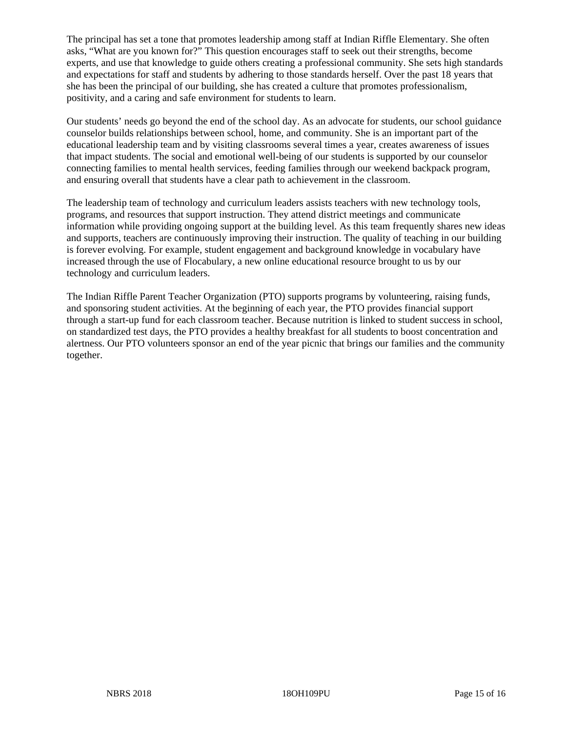The principal has set a tone that promotes leadership among staff at Indian Riffle Elementary. She often asks, "What are you known for?" This question encourages staff to seek out their strengths, become experts, and use that knowledge to guide others creating a professional community. She sets high standards and expectations for staff and students by adhering to those standards herself. Over the past 18 years that she has been the principal of our building, she has created a culture that promotes professionalism, positivity, and a caring and safe environment for students to learn.

Our students' needs go beyond the end of the school day. As an advocate for students, our school guidance counselor builds relationships between school, home, and community. She is an important part of the educational leadership team and by visiting classrooms several times a year, creates awareness of issues that impact students. The social and emotional well-being of our students is supported by our counselor connecting families to mental health services, feeding families through our weekend backpack program, and ensuring overall that students have a clear path to achievement in the classroom.

The leadership team of technology and curriculum leaders assists teachers with new technology tools, programs, and resources that support instruction. They attend district meetings and communicate information while providing ongoing support at the building level. As this team frequently shares new ideas and supports, teachers are continuously improving their instruction. The quality of teaching in our building is forever evolving. For example, student engagement and background knowledge in vocabulary have increased through the use of Flocabulary, a new online educational resource brought to us by our technology and curriculum leaders.

The Indian Riffle Parent Teacher Organization (PTO) supports programs by volunteering, raising funds, and sponsoring student activities. At the beginning of each year, the PTO provides financial support through a start-up fund for each classroom teacher. Because nutrition is linked to student success in school, on standardized test days, the PTO provides a healthy breakfast for all students to boost concentration and alertness. Our PTO volunteers sponsor an end of the year picnic that brings our families and the community together.